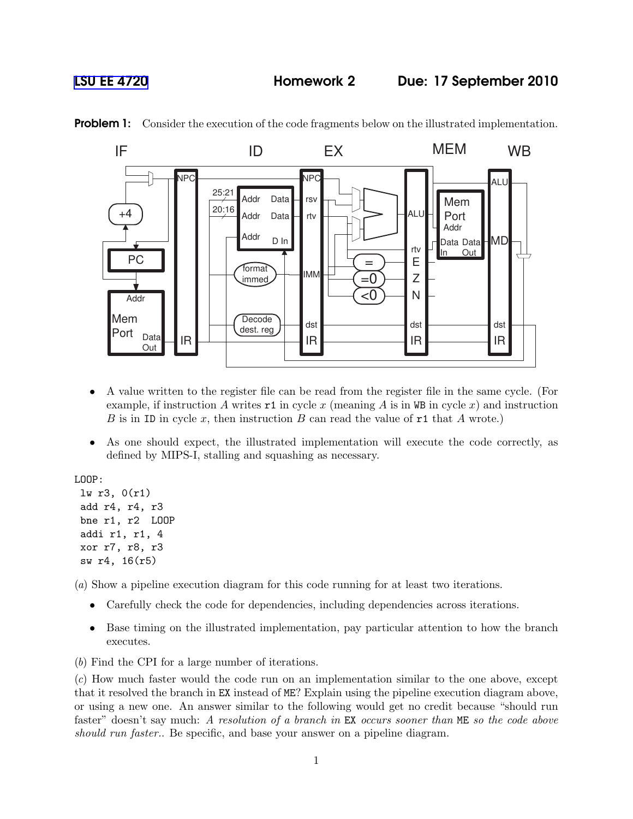## [LSU EE 4720](http://www.ece.lsu.edu/ee4720/) Homework 2 Due: 17 September 2010



**Problem 1:** Consider the execution of the code fragments below on the illustrated implementation.

- A value written to the register file can be read from the register file in the same cycle. (For example, if instruction A writes  $\texttt{r1}$  in cycle x (meaning A is in WB in cycle x) and instruction B is in ID in cycle x, then instruction B can read the value of  $r1$  that A wrote.)
- As one should expect, the illustrated implementation will execute the code correctly, as defined by MIPS-I, stalling and squashing as necessary.

LOOP:

```
lw r3, 0(r1)
add r4, r4, r3
bne r1, r2 LOOP
addi r1, r1, 4
xor r7, r8, r3
sw r4, 16(r5)
```
(a) Show a pipeline execution diagram for this code running for at least two iterations.

- Carefully check the code for dependencies, including dependencies across iterations.
- Base timing on the illustrated implementation, pay particular attention to how the branch executes.
- (b) Find the CPI for a large number of iterations.

(c) How much faster would the code run on an implementation similar to the one above, except that it resolved the branch in EX instead of ME? Explain using the pipeline execution diagram above, or using a new one. An answer similar to the following would get no credit because "should run faster" doesn't say much: A resolution of a branch in EX occurs sooner than ME so the code above should run faster.. Be specific, and base your answer on a pipeline diagram.